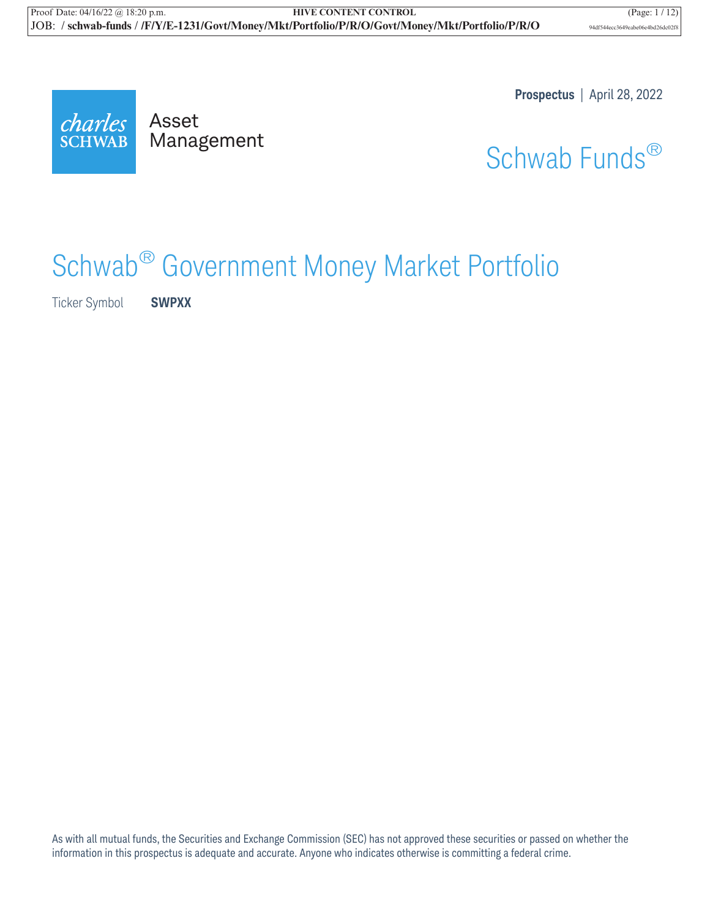**Prospectus** | April 28, 2022

charles **SCHWAB** 

Mana Management

Schwab Funds®

# Schwab® Government Money Market Portfolio

Ticker Symbol **SWPXX**

As with all mutual funds, the Securities and Exchange Commission (SEC) has not approved these securities or passed on whether the information in this prospectus is adequate and accurate. Anyone who indicates otherwise is committing a federal crime.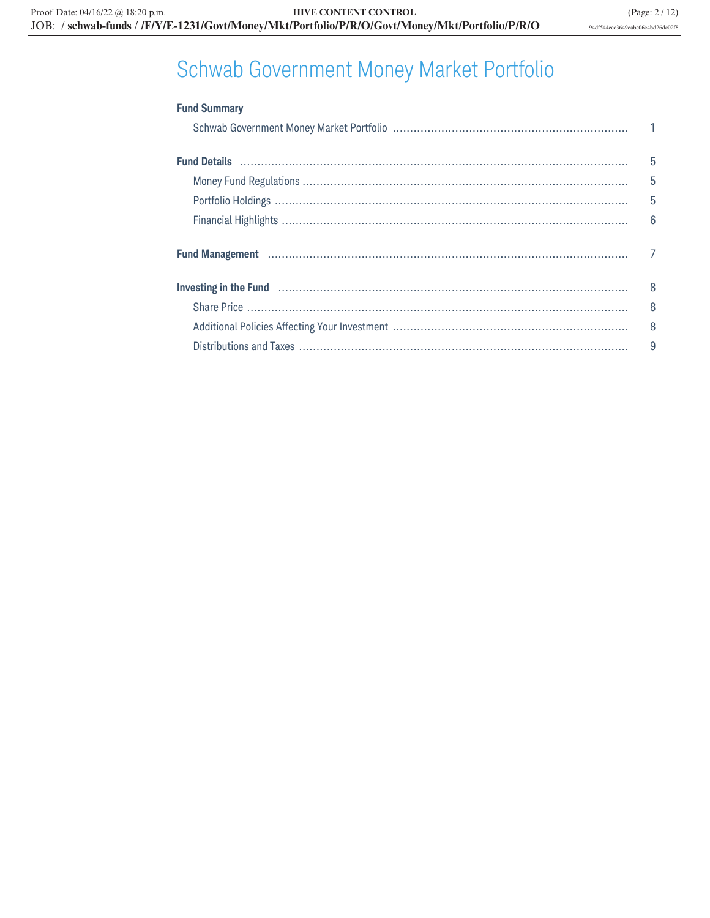## Schwab Government Money Market Portfolio

| <b>Fund Summary</b>                                                                                                                                                                                                                                                     |                 |
|-------------------------------------------------------------------------------------------------------------------------------------------------------------------------------------------------------------------------------------------------------------------------|-----------------|
|                                                                                                                                                                                                                                                                         |                 |
|                                                                                                                                                                                                                                                                         | 5               |
|                                                                                                                                                                                                                                                                         | 5               |
|                                                                                                                                                                                                                                                                         | 5               |
|                                                                                                                                                                                                                                                                         | $6\overline{6}$ |
| Fund Management (1111) Management (1111) Management (1111) Management (1111) Management (1111) Management (111                                                                                                                                                          | $\overline{7}$  |
| Investing in the Fund <b>Election Constructs</b> and <b>Election Constructs</b> and <b>Election Constructs</b> and <b>Election Constructs</b> and <b>Election Constructs</b> and <b>Election Constructs</b> and <b>Election Constructs</b> and <b>Election Construc</b> | 8               |
|                                                                                                                                                                                                                                                                         | 8               |
|                                                                                                                                                                                                                                                                         | 8               |
|                                                                                                                                                                                                                                                                         | 9               |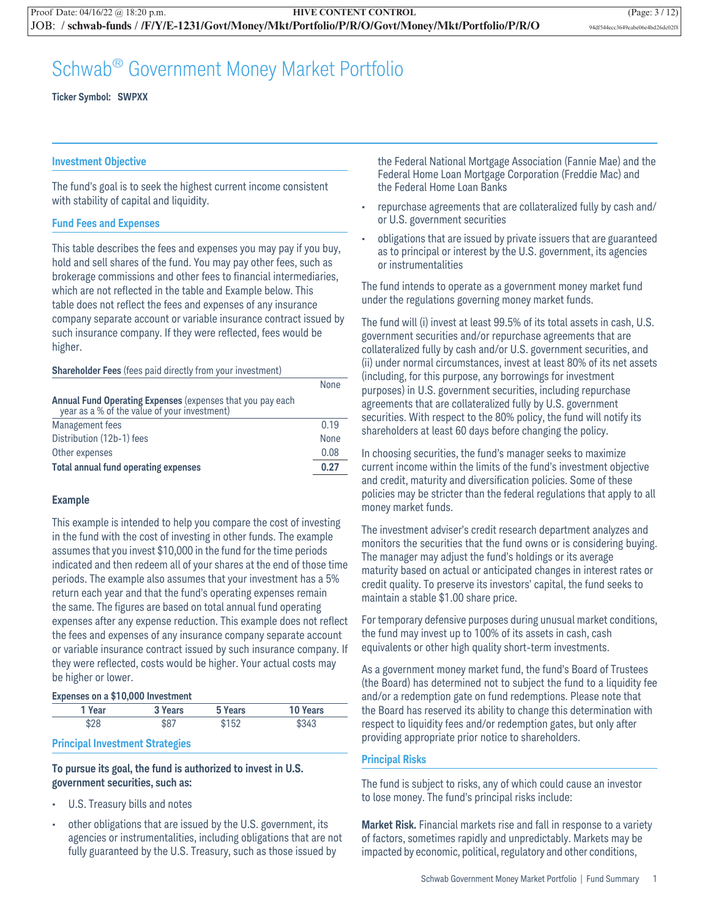### Schwab® Government Money Market Portfolio

**Ticker Symbol: SWPXX**

### **Investment Objective**

The fund's goal is to seek the highest current income consistent with stability of capital and liquidity.

### **Fund Fees and Expenses**

This table describes the fees and expenses you may pay if you buy, hold and sell shares of the fund. You may pay other fees, such as brokerage commissions and other fees to financial intermediaries, which are not reflected in the table and Example below. This table does not reflect the fees and expenses of any insurance company separate account or variable insurance contract issued by such insurance company. If they were reflected, fees would be higher.

#### **Shareholder Fees** (fees paid directly from your investment)

|                                                                                                            | None |
|------------------------------------------------------------------------------------------------------------|------|
| Annual Fund Operating Expenses (expenses that you pay each<br>year as a % of the value of your investment) |      |
| Management fees                                                                                            | 0.19 |
| Distribution (12b-1) fees                                                                                  | None |
| Other expenses                                                                                             | 0.08 |
| <b>Total annual fund operating expenses</b>                                                                | 0.27 |

### **Example**

This example is intended to help you compare the cost of investing in the fund with the cost of investing in other funds. The example assumes that you invest \$10,000 in the fund for the time periods indicated and then redeem all of your shares at the end of those time periods. The example also assumes that your investment has a 5% return each year and that the fund's operating expenses remain the same. The figures are based on total annual fund operating expenses after any expense reduction. This example does not reflect the fees and expenses of any insurance company separate account or variable insurance contract issued by such insurance company. If they were reflected, costs would be higher. Your actual costs may be higher or lower.

#### **Expenses on a \$10,000 Investment**

| 1 Year | 3 Years | 5 Years | 10 Years |
|--------|---------|---------|----------|
| \$28   | \$87    | \$152   | \$343    |

#### **Principal Investment Strategies**

### **To pursue its goal, the fund is authorized to invest in U.S. government securities, such as:**

- U.S. Treasury bills and notes
- other obligations that are issued by the U.S. government, its agencies or instrumentalities, including obligations that are not fully guaranteed by the U.S. Treasury, such as those issued by

the Federal National Mortgage Association (Fannie Mae) and the Federal Home Loan Mortgage Corporation (Freddie Mac) and the Federal Home Loan Banks

- repurchase agreements that are collateralized fully by cash and/ or U.S. government securities
- obligations that are issued by private issuers that are guaranteed as to principal or interest by the U.S. government, its agencies or instrumentalities

The fund intends to operate as a government money market fund under the regulations governing money market funds.

The fund will (i) invest at least 99.5% of its total assets in cash, U.S. government securities and/or repurchase agreements that are collateralized fully by cash and/or U.S. government securities, and (ii) under normal circumstances, invest at least 80% of its net assets (including, for this purpose, any borrowings for investment purposes) in U.S. government securities, including repurchase agreements that are collateralized fully by U.S. government securities. With respect to the 80% policy, the fund will notify its shareholders at least 60 days before changing the policy.

In choosing securities, the fund's manager seeks to maximize current income within the limits of the fund's investment objective and credit, maturity and diversification policies. Some of these policies may be stricter than the federal regulations that apply to all money market funds.

The investment adviser's credit research department analyzes and monitors the securities that the fund owns or is considering buying. The manager may adjust the fund's holdings or its average maturity based on actual or anticipated changes in interest rates or credit quality. To preserve its investors' capital, the fund seeks to maintain a stable \$1.00 share price.

For temporary defensive purposes during unusual market conditions, the fund may invest up to 100% of its assets in cash, cash equivalents or other high quality short-term investments.

As a government money market fund, the fund's Board of Trustees (the Board) has determined not to subject the fund to a liquidity fee and/or a redemption gate on fund redemptions. Please note that the Board has reserved its ability to change this determination with respect to liquidity fees and/or redemption gates, but only after providing appropriate prior notice to shareholders.

### **Principal Risks**

The fund is subject to risks, any of which could cause an investor to lose money. The fund's principal risks include:

**Market Risk.** Financial markets rise and fall in response to a variety of factors, sometimes rapidly and unpredictably. Markets may be impacted by economic, political, regulatory and other conditions,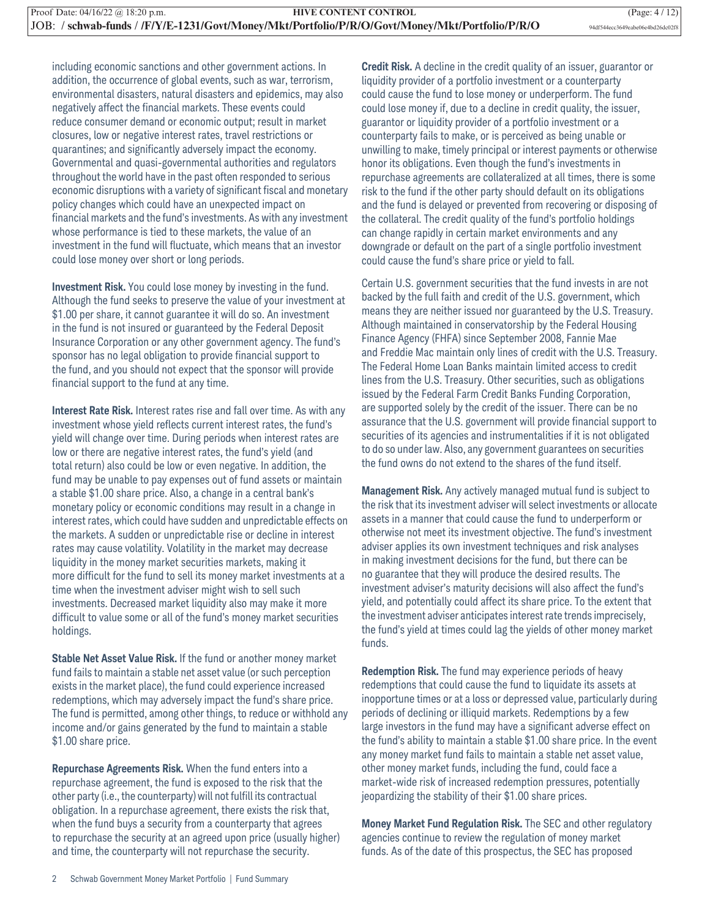including economic sanctions and other government actions. In addition, the occurrence of global events, such as war, terrorism, environmental disasters, natural disasters and epidemics, may also negatively affect the financial markets. These events could reduce consumer demand or economic output; result in market closures, low or negative interest rates, travel restrictions or quarantines; and significantly adversely impact the economy. Governmental and quasi-governmental authorities and regulators throughout the world have in the past often responded to serious economic disruptions with a variety of significant fiscal and monetary policy changes which could have an unexpected impact on financial markets and the fund's investments. As with any investment whose performance is tied to these markets, the value of an investment in the fund will fluctuate, which means that an investor could lose money over short or long periods.

**Investment Risk.** You could lose money by investing in the fund. Although the fund seeks to preserve the value of your investment at \$1.00 per share, it cannot guarantee it will do so. An investment in the fund is not insured or guaranteed by the Federal Deposit Insurance Corporation or any other government agency. The fund's sponsor has no legal obligation to provide financial support to the fund, and you should not expect that the sponsor will provide financial support to the fund at any time.

**Interest Rate Risk.** Interest rates rise and fall over time. As with any investment whose yield reflects current interest rates, the fund's yield will change over time. During periods when interest rates are low or there are negative interest rates, the fund's yield (and total return) also could be low or even negative. In addition, the fund may be unable to pay expenses out of fund assets or maintain a stable \$1.00 share price. Also, a change in a central bank's monetary policy or economic conditions may result in a change in interest rates, which could have sudden and unpredictable effects on the markets. A sudden or unpredictable rise or decline in interest rates may cause volatility. Volatility in the market may decrease liquidity in the money market securities markets, making it more difficult for the fund to sell its money market investments at a time when the investment adviser might wish to sell such investments. Decreased market liquidity also may make it more difficult to value some or all of the fund's money market securities holdings.

**Stable Net Asset Value Risk.** If the fund or another money market fund fails to maintain a stable net asset value (or such perception exists in the market place), the fund could experience increased redemptions, which may adversely impact the fund's share price. The fund is permitted, among other things, to reduce or withhold any income and/or gains generated by the fund to maintain a stable \$1.00 share price.

**Repurchase Agreements Risk.** When the fund enters into a repurchase agreement, the fund is exposed to the risk that the other party (i.e., the counterparty) will not fulfill its contractual obligation. In a repurchase agreement, there exists the risk that, when the fund buys a security from a counterparty that agrees to repurchase the security at an agreed upon price (usually higher) and time, the counterparty will not repurchase the security.

**Credit Risk.** A decline in the credit quality of an issuer, guarantor or liquidity provider of a portfolio investment or a counterparty could cause the fund to lose money or underperform. The fund could lose money if, due to a decline in credit quality, the issuer, guarantor or liquidity provider of a portfolio investment or a counterparty fails to make, or is perceived as being unable or unwilling to make, timely principal or interest payments or otherwise honor its obligations. Even though the fund's investments in repurchase agreements are collateralized at all times, there is some risk to the fund if the other party should default on its obligations and the fund is delayed or prevented from recovering or disposing of the collateral. The credit quality of the fund's portfolio holdings can change rapidly in certain market environments and any downgrade or default on the part of a single portfolio investment could cause the fund's share price or yield to fall.

Certain U.S. government securities that the fund invests in are not backed by the full faith and credit of the U.S. government, which means they are neither issued nor guaranteed by the U.S. Treasury. Although maintained in conservatorship by the Federal Housing Finance Agency (FHFA) since September 2008, Fannie Mae and Freddie Mac maintain only lines of credit with the U.S. Treasury. The Federal Home Loan Banks maintain limited access to credit lines from the U.S. Treasury. Other securities, such as obligations issued by the Federal Farm Credit Banks Funding Corporation, are supported solely by the credit of the issuer. There can be no assurance that the U.S. government will provide financial support to securities of its agencies and instrumentalities if it is not obligated to do so under law. Also, any government guarantees on securities the fund owns do not extend to the shares of the fund itself.

**Management Risk.** Any actively managed mutual fund is subject to the risk that its investment adviser will select investments or allocate assets in a manner that could cause the fund to underperform or otherwise not meet its investment objective. The fund's investment adviser applies its own investment techniques and risk analyses in making investment decisions for the fund, but there can be no guarantee that they will produce the desired results. The investment adviser's maturity decisions will also affect the fund's yield, and potentially could affect its share price. To the extent that the investment adviser anticipates interest rate trends imprecisely, the fund's yield at times could lag the yields of other money market funds.

**Redemption Risk.** The fund may experience periods of heavy redemptions that could cause the fund to liquidate its assets at inopportune times or at a loss or depressed value, particularly during periods of declining or illiquid markets. Redemptions by a few large investors in the fund may have a significant adverse effect on the fund's ability to maintain a stable \$1.00 share price. In the event any money market fund fails to maintain a stable net asset value, other money market funds, including the fund, could face a market-wide risk of increased redemption pressures, potentially jeopardizing the stability of their \$1.00 share prices.

**Money Market Fund Regulation Risk.** The SEC and other regulatory agencies continue to review the regulation of money market funds. As of the date of this prospectus, the SEC has proposed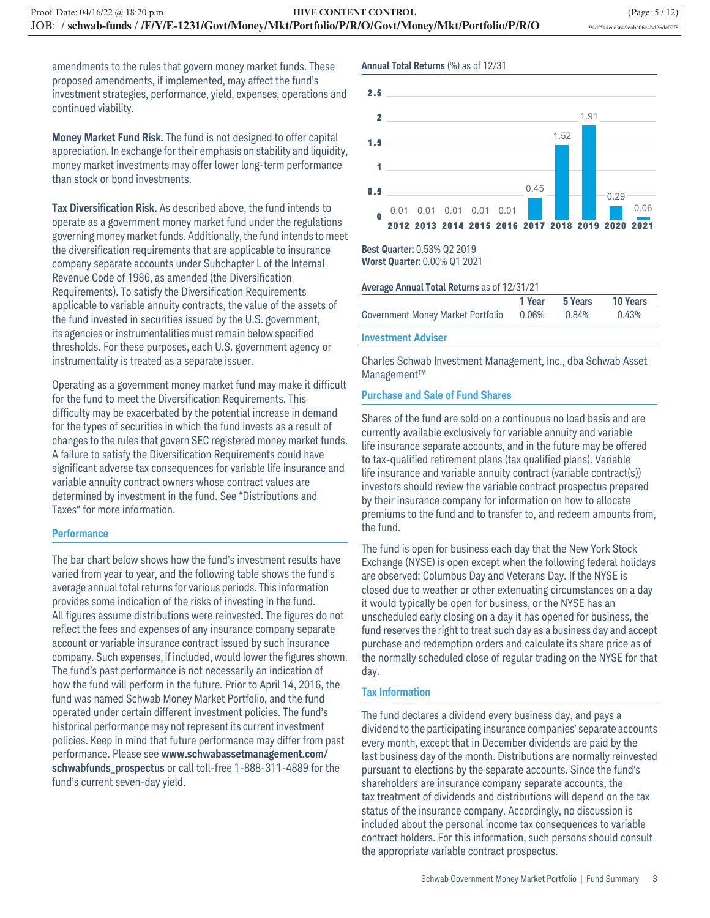amendments to the rules that govern money market funds. These proposed amendments, if implemented, may affect the fund's investment strategies, performance, yield, expenses, operations and continued viability.

**Money Market Fund Risk.** The fund is not designed to offer capital appreciation. In exchange for their emphasis on stability and liquidity, money market investments may offer lower long-term performance than stock or bond investments.

**Tax Diversification Risk.** As described above, the fund intends to operate as a government money market fund under the regulations governing money market funds. Additionally, the fund intends to meet the diversification requirements that are applicable to insurance company separate accounts under Subchapter L of the Internal Revenue Code of 1986, as amended (the Diversification Requirements). To satisfy the Diversification Requirements applicable to variable annuity contracts, the value of the assets of the fund invested in securities issued by the U.S. government, its agencies or instrumentalities must remain below specified thresholds. For these purposes, each U.S. government agency or instrumentality is treated as a separate issuer.

Operating as a government money market fund may make it difficult for the fund to meet the Diversification Requirements. This difficulty may be exacerbated by the potential increase in demand for the types of securities in which the fund invests as a result of changes to the rules that govern SEC registered money market funds. A failure to satisfy the Diversification Requirements could have significant adverse tax consequences for variable life insurance and variable annuity contract owners whose contract values are determined by investment in the fund. See "Distributions and Taxes" for more information.

### **Performance**

The bar chart below shows how the fund's investment results have varied from year to year, and the following table shows the fund's average annual total returns for various periods. This information provides some indication of the risks of investing in the fund. All figures assume distributions were reinvested. The figures do not reflect the fees and expenses of any insurance company separate account or variable insurance contract issued by such insurance company. Such expenses, if included, would lower the figures shown. The fund's past performance is not necessarily an indication of how the fund will perform in the future. Prior to April 14, 2016, the fund was named Schwab Money Market Portfolio, and the fund operated under certain different investment policies. The fund's historical performance may not represent its current investment policies. Keep in mind that future performance may differ from past performance. Please see **www.schwabassetmanagement.com/ schwabfunds\_prospectus** or call toll-free 1-888-311-4889 for the fund's current seven-day yield.

#### **Annual Total Returns** (%) as of 12/31



### **Best Quarter:** 0.53% Q2 2019 **Worst Quarter:** 0.00% Q1 2021

#### **Average Annual Total Returns** as of 12/31/21

|                                         | 1 Year 5 Years | <b>10 Years</b> |
|-----------------------------------------|----------------|-----------------|
| Government Money Market Portfolio 0.06% | 0.84%          | 0.43%           |

#### **Investment Adviser**

Charles Schwab Investment Management, Inc., dba Schwab Asset Management™

### **Purchase and Sale of Fund Shares**

Shares of the fund are sold on a continuous no load basis and are currently available exclusively for variable annuity and variable life insurance separate accounts, and in the future may be offered to tax-qualified retirement plans (tax qualified plans). Variable life insurance and variable annuity contract (variable contract(s)) investors should review the variable contract prospectus prepared by their insurance company for information on how to allocate premiums to the fund and to transfer to, and redeem amounts from, the fund.

The fund is open for business each day that the New York Stock Exchange (NYSE) is open except when the following federal holidays are observed: Columbus Day and Veterans Day. If the NYSE is closed due to weather or other extenuating circumstances on a day it would typically be open for business, or the NYSE has an unscheduled early closing on a day it has opened for business, the fund reserves the right to treat such day as a business day and accept purchase and redemption orders and calculate its share price as of the normally scheduled close of regular trading on the NYSE for that day.

### **Tax Information**

The fund declares a dividend every business day, and pays a dividend to the participating insurance companies' separate accounts every month, except that in December dividends are paid by the last business day of the month. Distributions are normally reinvested pursuant to elections by the separate accounts. Since the fund's shareholders are insurance company separate accounts, the tax treatment of dividends and distributions will depend on the tax status of the insurance company. Accordingly, no discussion is included about the personal income tax consequences to variable contract holders. For this information, such persons should consult the appropriate variable contract prospectus.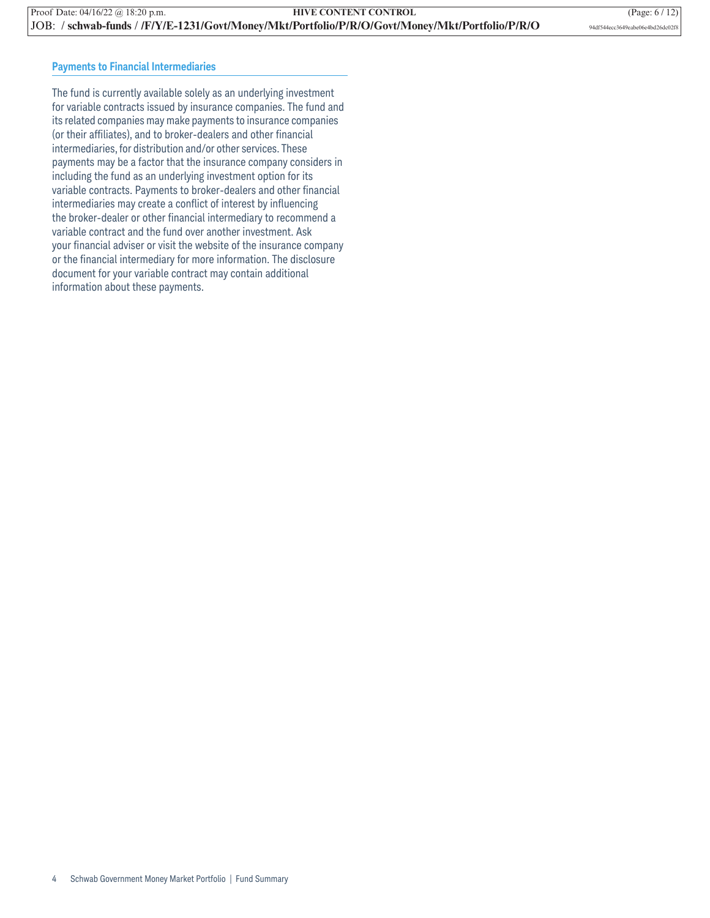### **Payments to Financial Intermediaries**

The fund is currently available solely as an underlying investment for variable contracts issued by insurance companies. The fund and its related companies may make payments to insurance companies (or their affiliates), and to broker-dealers and other financial intermediaries, for distribution and/or other services. These payments may be a factor that the insurance company considers in including the fund as an underlying investment option for its variable contracts. Payments to broker-dealers and other financial intermediaries may create a conflict of interest by influencing the broker-dealer or other financial intermediary to recommend a variable contract and the fund over another investment. Ask your financial adviser or visit the website of the insurance company or the financial intermediary for more information. The disclosure document for your variable contract may contain additional information about these payments.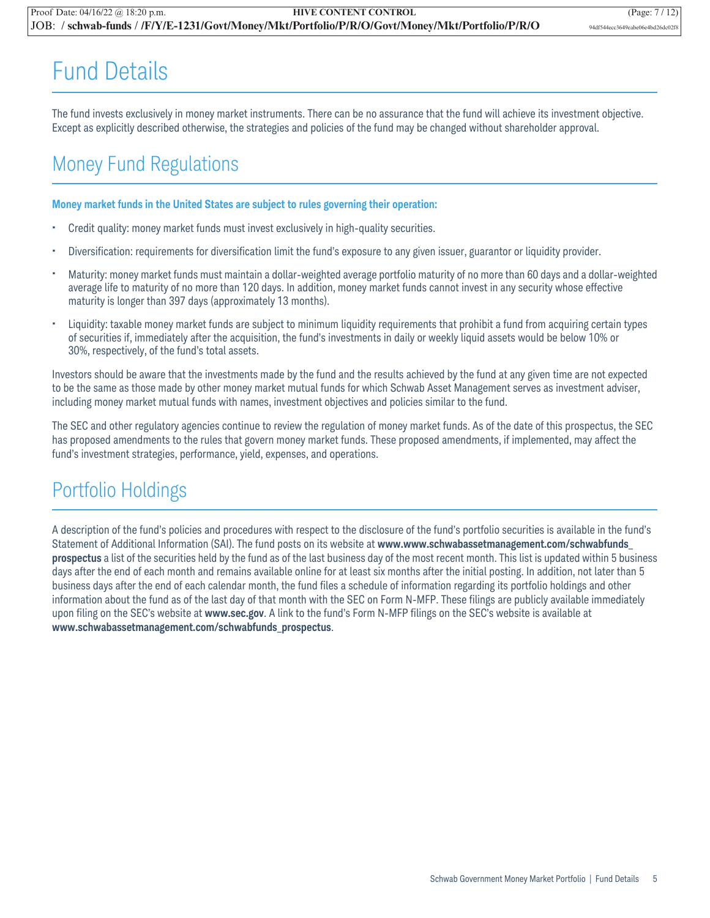## Fund Details

The fund invests exclusively in money market instruments. There can be no assurance that the fund will achieve its investment objective. Except as explicitly described otherwise, the strategies and policies of the fund may be changed without shareholder approval.

### Money Fund Regulations

### **Money market funds in the United States are subject to rules governing their operation:**

- Credit quality: money market funds must invest exclusively in high-quality securities.
- Diversification: requirements for diversification limit the fund's exposure to any given issuer, guarantor or liquidity provider.
- Maturity: money market funds must maintain a dollar-weighted average portfolio maturity of no more than 60 days and a dollar-weighted average life to maturity of no more than 120 days. In addition, money market funds cannot invest in any security whose effective maturity is longer than 397 days (approximately 13 months).
- Liquidity: taxable money market funds are subject to minimum liquidity requirements that prohibit a fund from acquiring certain types of securities if, immediately after the acquisition, the fund's investments in daily or weekly liquid assets would be below 10% or 30%, respectively, of the fund's total assets.

Investors should be aware that the investments made by the fund and the results achieved by the fund at any given time are not expected to be the same as those made by other money market mutual funds for which Schwab Asset Management serves as investment adviser, including money market mutual funds with names, investment objectives and policies similar to the fund.

The SEC and other regulatory agencies continue to review the regulation of money market funds. As of the date of this prospectus, the SEC has proposed amendments to the rules that govern money market funds. These proposed amendments, if implemented, may affect the fund's investment strategies, performance, yield, expenses, and operations.

### Portfolio Holdings

A description of the fund's policies and procedures with respect to the disclosure of the fund's portfolio securities is available in the fund's Statement of Additional Information (SAI). The fund posts on its website at **www.www.schwabassetmanagement.com/schwabfunds\_ prospectus** a list of the securities held by the fund as of the last business day of the most recent month. This list is updated within 5 business days after the end of each month and remains available online for at least six months after the initial posting. In addition, not later than 5 business days after the end of each calendar month, the fund files a schedule of information regarding its portfolio holdings and other information about the fund as of the last day of that month with the SEC on Form N-MFP. These filings are publicly available immediately upon filing on the SEC's website at **www.sec.gov**. A link to the fund's Form N-MFP filings on the SEC's website is available at **www.schwabassetmanagement.com/schwabfunds\_prospectus**.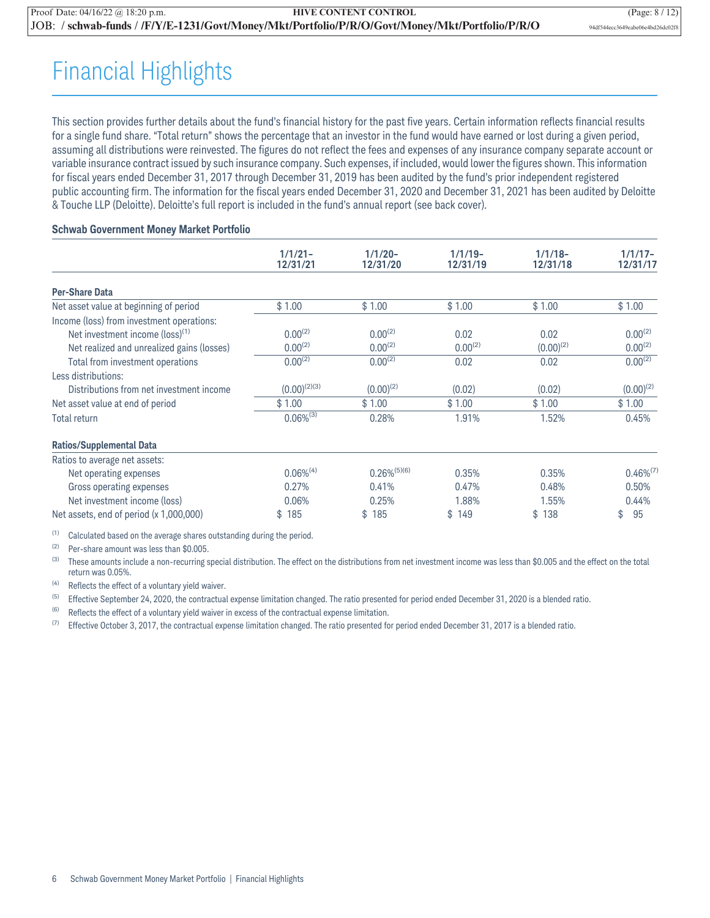## Financial Highlights

This section provides further details about the fund's financial history for the past five years. Certain information reflects financial results for a single fund share. "Total return" shows the percentage that an investor in the fund would have earned or lost during a given period, assuming all distributions were reinvested. The figures do not reflect the fees and expenses of any insurance company separate account or variable insurance contract issued by such insurance company. Such expenses, if included, would lower the figures shown. This information for fiscal years ended December 31, 2017 through December 31, 2019 has been audited by the fund's prior independent registered public accounting firm. The information for the fiscal years ended December 31, 2020 and December 31, 2021 has been audited by Deloitte & Touche LLP (Deloitte). Deloitte's full report is included in the fund's annual report (see back cover).

### **Schwab Government Money Market Portfolio**

|                                             | $1/1/21 -$        | $1/1/20 -$        | $1/1/19-$    | $1/1/18-$      | $1/1/17-$      |
|---------------------------------------------|-------------------|-------------------|--------------|----------------|----------------|
|                                             | 12/31/21          | 12/31/20          | 12/31/19     | 12/31/18       | 12/31/17       |
| <b>Per-Share Data</b>                       |                   |                   |              |                |                |
| Net asset value at beginning of period      | \$1.00            | \$1.00            | \$1.00       | \$1.00         | \$1.00         |
| Income (loss) from investment operations:   |                   |                   |              |                |                |
| Net investment income (loss) <sup>(1)</sup> | $0.00^{(2)}$      | $0.00^{(2)}$      | 0.02         | 0.02           | $0.00^{(2)}$   |
| Net realized and unrealized gains (losses)  | $0.00^{(2)}$      | $0.00^{(2)}$      | $0.00^{(2)}$ | $(0.00)^{(2)}$ | $0.00^{(2)}$   |
| Total from investment operations            | $0.00^{(2)}$      | $0.00^{(2)}$      | 0.02         | 0.02           | $0.00^{(2)}$   |
| Less distributions:                         |                   |                   |              |                |                |
| Distributions from net investment income    | $(0.00)^{(2)(3)}$ | $(0.00)^{(2)}$    | (0.02)       | (0.02)         | $(0.00)^{(2)}$ |
| Net asset value at end of period            | \$1.00            | \$1.00            | \$1.00       | \$1.00         | \$1.00         |
| <b>Total return</b>                         | $0.06\%^{(3)}$    | 0.28%             | 1.91%        | 1.52%          | 0.45%          |
| <b>Ratios/Supplemental Data</b>             |                   |                   |              |                |                |
| Ratios to average net assets:               |                   |                   |              |                |                |
| Net operating expenses                      | $0.06\%^{(4)}$    | $0.26\%^{(5)(6)}$ | 0.35%        | 0.35%          | $0.46\%^{(7)}$ |
| Gross operating expenses                    | 0.27%             | 0.41%             | 0.47%        | 0.48%          | 0.50%          |
| Net investment income (loss)                | 0.06%             | 0.25%             | 1.88%        | 1.55%          | 0.44%          |
| Net assets, end of period (x 1,000,000)     | \$<br>185         | 185<br>\$         | \$149        | 138<br>\$      | \$<br>95       |

(1) Calculated based on the average shares outstanding during the period.

(2) Per-share amount was less than \$0.005.

(3) These amounts include a non-recurring special distribution. The effect on the distributions from net investment income was less than \$0.005 and the effect on the total return was 0.05%.

(4) Reflects the effect of a voluntary yield waiver.

<sup>(5)</sup> Effective September 24, 2020, the contractual expense limitation changed. The ratio presented for period ended December 31, 2020 is a blended ratio.

 $(6)$  Reflects the effect of a voluntary yield waiver in excess of the contractual expense limitation.

(7) Effective October 3, 2017, the contractual expense limitation changed. The ratio presented for period ended December 31, 2017 is a blended ratio.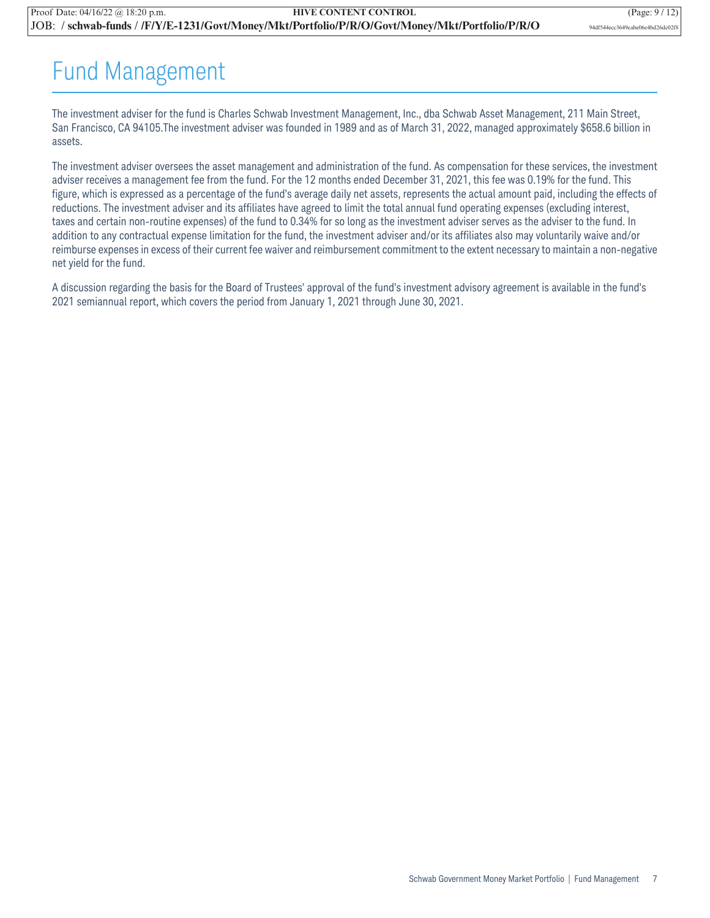## Fund Management

The investment adviser for the fund is Charles Schwab Investment Management, Inc., dba Schwab Asset Management, 211 Main Street, San Francisco, CA 94105.The investment adviser was founded in 1989 and as of March 31, 2022, managed approximately \$658.6 billion in assets.

The investment adviser oversees the asset management and administration of the fund. As compensation for these services, the investment adviser receives a management fee from the fund. For the 12 months ended December 31, 2021, this fee was 0.19% for the fund. This figure, which is expressed as a percentage of the fund's average daily net assets, represents the actual amount paid, including the effects of reductions. The investment adviser and its affiliates have agreed to limit the total annual fund operating expenses (excluding interest, taxes and certain non-routine expenses) of the fund to 0.34% for so long as the investment adviser serves as the adviser to the fund. In addition to any contractual expense limitation for the fund, the investment adviser and/or its affiliates also may voluntarily waive and/or reimburse expenses in excess of their current fee waiver and reimbursement commitment to the extent necessary to maintain a non-negative net yield for the fund.

A discussion regarding the basis for the Board of Trustees' approval of the fund's investment advisory agreement is available in the fund's 2021 semiannual report, which covers the period from January 1, 2021 through June 30, 2021.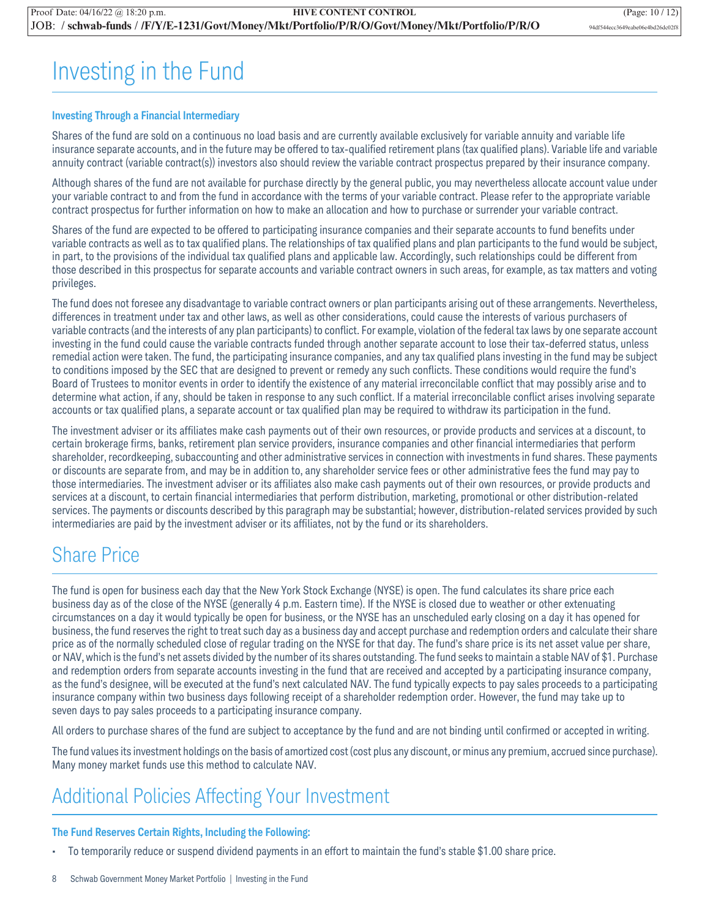## Investing in the Fund

### **Investing Through a Financial Intermediary**

Shares of the fund are sold on a continuous no load basis and are currently available exclusively for variable annuity and variable life insurance separate accounts, and in the future may be offered to tax-qualified retirement plans (tax qualified plans). Variable life and variable annuity contract (variable contract(s)) investors also should review the variable contract prospectus prepared by their insurance company.

Although shares of the fund are not available for purchase directly by the general public, you may nevertheless allocate account value under your variable contract to and from the fund in accordance with the terms of your variable contract. Please refer to the appropriate variable contract prospectus for further information on how to make an allocation and how to purchase or surrender your variable contract.

Shares of the fund are expected to be offered to participating insurance companies and their separate accounts to fund benefits under variable contracts as well as to tax qualified plans. The relationships of tax qualified plans and plan participants to the fund would be subject, in part, to the provisions of the individual tax qualified plans and applicable law. Accordingly, such relationships could be different from those described in this prospectus for separate accounts and variable contract owners in such areas, for example, as tax matters and voting privileges.

The fund does not foresee any disadvantage to variable contract owners or plan participants arising out of these arrangements. Nevertheless, differences in treatment under tax and other laws, as well as other considerations, could cause the interests of various purchasers of variable contracts (and the interests of any plan participants) to conflict. For example, violation of the federal tax laws by one separate account investing in the fund could cause the variable contracts funded through another separate account to lose their tax-deferred status, unless remedial action were taken. The fund, the participating insurance companies, and any tax qualified plans investing in the fund may be subject to conditions imposed by the SEC that are designed to prevent or remedy any such conflicts. These conditions would require the fund's Board of Trustees to monitor events in order to identify the existence of any material irreconcilable conflict that may possibly arise and to determine what action, if any, should be taken in response to any such conflict. If a material irreconcilable conflict arises involving separate accounts or tax qualified plans, a separate account or tax qualified plan may be required to withdraw its participation in the fund.

The investment adviser or its affiliates make cash payments out of their own resources, or provide products and services at a discount, to certain brokerage firms, banks, retirement plan service providers, insurance companies and other financial intermediaries that perform shareholder, recordkeeping, subaccounting and other administrative services in connection with investments in fund shares. These payments or discounts are separate from, and may be in addition to, any shareholder service fees or other administrative fees the fund may pay to those intermediaries. The investment adviser or its affiliates also make cash payments out of their own resources, or provide products and services at a discount, to certain financial intermediaries that perform distribution, marketing, promotional or other distribution-related services. The payments or discounts described by this paragraph may be substantial; however, distribution-related services provided by such intermediaries are paid by the investment adviser or its affiliates, not by the fund or its shareholders.

### Share Price

The fund is open for business each day that the New York Stock Exchange (NYSE) is open. The fund calculates its share price each business day as of the close of the NYSE (generally 4 p.m. Eastern time). If the NYSE is closed due to weather or other extenuating circumstances on a day it would typically be open for business, or the NYSE has an unscheduled early closing on a day it has opened for business, the fund reserves the right to treat such day as a business day and accept purchase and redemption orders and calculate their share price as of the normally scheduled close of regular trading on the NYSE for that day. The fund's share price is its net asset value per share, or NAV, which is the fund's net assets divided by the number of its shares outstanding. The fund seeks to maintain a stable NAV of \$1. Purchase and redemption orders from separate accounts investing in the fund that are received and accepted by a participating insurance company, as the fund's designee, will be executed at the fund's next calculated NAV. The fund typically expects to pay sales proceeds to a participating insurance company within two business days following receipt of a shareholder redemption order. However, the fund may take up to seven days to pay sales proceeds to a participating insurance company.

All orders to purchase shares of the fund are subject to acceptance by the fund and are not binding until confirmed or accepted in writing.

The fund values its investment holdings on the basis of amortized cost (cost plus any discount, or minus any premium, accrued since purchase). Many money market funds use this method to calculate NAV.

### Additional Policies Affecting Your Investment

### **The Fund Reserves Certain Rights, Including the Following:**

• To temporarily reduce or suspend dividend payments in an effort to maintain the fund's stable \$1.00 share price.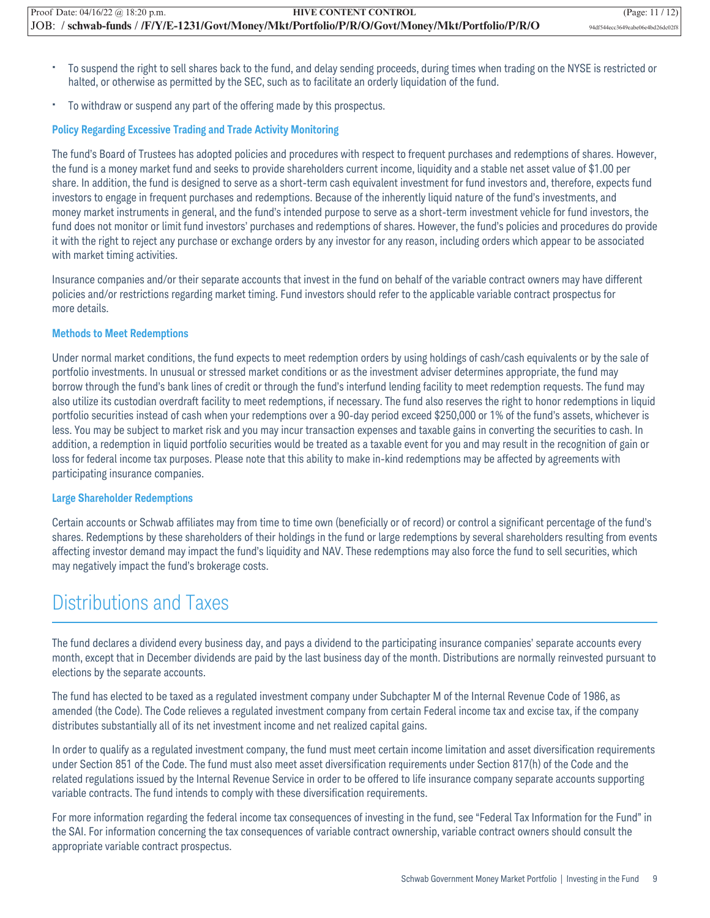- To suspend the right to sell shares back to the fund, and delay sending proceeds, during times when trading on the NYSE is restricted or halted, or otherwise as permitted by the SEC, such as to facilitate an orderly liquidation of the fund.
- To withdraw or suspend any part of the offering made by this prospectus.

### **Policy Regarding Excessive Trading and Trade Activity Monitoring**

The fund's Board of Trustees has adopted policies and procedures with respect to frequent purchases and redemptions of shares. However, the fund is a money market fund and seeks to provide shareholders current income, liquidity and a stable net asset value of \$1.00 per share. In addition, the fund is designed to serve as a short-term cash equivalent investment for fund investors and, therefore, expects fund investors to engage in frequent purchases and redemptions. Because of the inherently liquid nature of the fund's investments, and money market instruments in general, and the fund's intended purpose to serve as a short-term investment vehicle for fund investors, the fund does not monitor or limit fund investors' purchases and redemptions of shares. However, the fund's policies and procedures do provide it with the right to reject any purchase or exchange orders by any investor for any reason, including orders which appear to be associated with market timing activities.

Insurance companies and/or their separate accounts that invest in the fund on behalf of the variable contract owners may have different policies and/or restrictions regarding market timing. Fund investors should refer to the applicable variable contract prospectus for more details.

### **Methods to Meet Redemptions**

Under normal market conditions, the fund expects to meet redemption orders by using holdings of cash/cash equivalents or by the sale of portfolio investments. In unusual or stressed market conditions or as the investment adviser determines appropriate, the fund may borrow through the fund's bank lines of credit or through the fund's interfund lending facility to meet redemption requests. The fund may also utilize its custodian overdraft facility to meet redemptions, if necessary. The fund also reserves the right to honor redemptions in liquid portfolio securities instead of cash when your redemptions over a 90-day period exceed \$250,000 or 1% of the fund's assets, whichever is less. You may be subject to market risk and you may incur transaction expenses and taxable gains in converting the securities to cash. In addition, a redemption in liquid portfolio securities would be treated as a taxable event for you and may result in the recognition of gain or loss for federal income tax purposes. Please note that this ability to make in-kind redemptions may be affected by agreements with participating insurance companies.

#### **Large Shareholder Redemptions**

Certain accounts or Schwab affiliates may from time to time own (beneficially or of record) or control a significant percentage of the fund's shares. Redemptions by these shareholders of their holdings in the fund or large redemptions by several shareholders resulting from events affecting investor demand may impact the fund's liquidity and NAV. These redemptions may also force the fund to sell securities, which may negatively impact the fund's brokerage costs.

### Distributions and Taxes

The fund declares a dividend every business day, and pays a dividend to the participating insurance companies' separate accounts every month, except that in December dividends are paid by the last business day of the month. Distributions are normally reinvested pursuant to elections by the separate accounts.

The fund has elected to be taxed as a regulated investment company under Subchapter M of the Internal Revenue Code of 1986, as amended (the Code). The Code relieves a regulated investment company from certain Federal income tax and excise tax, if the company distributes substantially all of its net investment income and net realized capital gains.

In order to qualify as a regulated investment company, the fund must meet certain income limitation and asset diversification requirements under Section 851 of the Code. The fund must also meet asset diversification requirements under Section 817(h) of the Code and the related regulations issued by the Internal Revenue Service in order to be offered to life insurance company separate accounts supporting variable contracts. The fund intends to comply with these diversification requirements.

For more information regarding the federal income tax consequences of investing in the fund, see "Federal Tax Information for the Fund" in the SAI. For information concerning the tax consequences of variable contract ownership, variable contract owners should consult the appropriate variable contract prospectus.